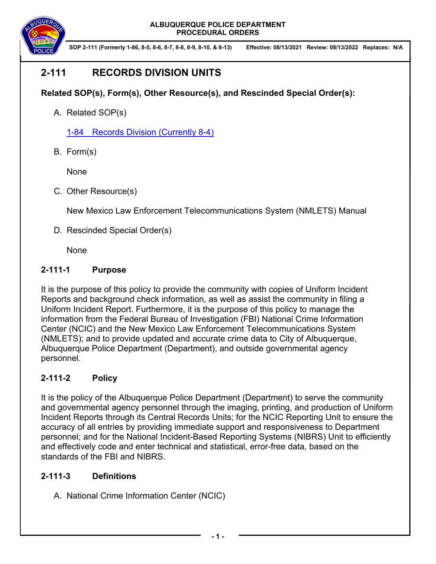

**SOP 2-111 (Formerly 1-86, 8-5, 8-6, 8-7, 8-8, 8-9, 8-10, & 8-13) Effective: 08/13/2021 Review: 08/13/2022 Replaces: N/A**

# **2-111 RECORDS DIVISION UNITS**

### **Related SOP(s), Form(s), Other Resource(s), and Rescinded Special Order(s):**

A. Related SOP(s)

1-84 Records Division (Currently 8-4)

B. Form(s)

None

C. Other Resource(s)

New Mexico Law Enforcement Telecommunications System (NMLETS) Manual

D. Rescinded Special Order(s)

None

### **2-111-1 Purpose**

It is the purpose of this policy to provide the community with copies of Uniform Incident Reports and background check information, as well as assist the community in filing a Uniform Incident Report. Furthermore, it is the purpose of this policy to manage the information from the Federal Bureau of Investigation (FBI) National Crime Information Center (NCIC) and the New Mexico Law Enforcement Telecommunications System (NMLETS); and to provide updated and accurate crime data to City of Albuquerque, Albuquerque Police Department (Department), and outside governmental agency personnel.

## **2-111-2 Policy**

It is the policy of the Albuquerque Police Department (Department) to serve the community and governmental agency personnel through the imaging, printing, and production of Uniform Incident Reports through its Central Records Units; for the NCIC Reporting Unit to ensure the accuracy of all entries by providing immediate support and responsiveness to Department personnel; and for the National Incident-Based Reporting Systems (NIBRS) Unit to efficiently and effectively code and enter technical and statistical, error-free data, based on the standards of the FBI and NIBRS.

### **2-111-3 Definitions**

A. National Crime Information Center (NCIC)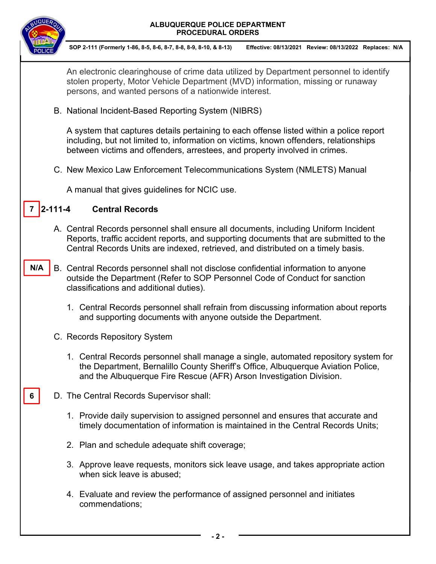

**6** 

**SOP 2-111 (Formerly 1-86, 8-5, 8-6, 8-7, 8-8, 8-9, 8-10, & 8-13) Effective: 08/13/2021 Review: 08/13/2022 Replaces: N/A**

An electronic clearinghouse of crime data utilized by Department personnel to identify stolen property, Motor Vehicle Department (MVD) information, missing or runaway persons, and wanted persons of a nationwide interest.

B. National Incident-Based Reporting System (NIBRS)

A system that captures details pertaining to each offense listed within a police report including, but not limited to, information on victims, known offenders, relationships between victims and offenders, arrestees, and property involved in crimes.

C. New Mexico Law Enforcement Telecommunications System (NMLETS) Manual

A manual that gives guidelines for NCIC use.

#### **2-111-20 Central Records**  $7 \vert 2 - 111 - 4 \vert$

- A. Central Records personnel shall ensure all documents, including Uniform Incident Reports, traffic accident reports, and supporting documents that are submitted to the Central Records Units are indexed, retrieved, and distributed on a timely basis.
- B. Central Records personnel shall not disclose confidential information to anyone outside the Department (Refer to SOP Personnel Code of Conduct for sanction classifications and additional duties). **N/A** 
	- 1. Central Records personnel shall refrain from discussing information about reports and supporting documents with anyone outside the Department.
	- C. Records Repository System
		- 1. Central Records personnel shall manage a single, automated repository system for the Department, Bernalillo County Sheriff's Office, Albuquerque Aviation Police, and the Albuquerque Fire Rescue (AFR) Arson Investigation Division.
	- D. The Central Records Supervisor shall:
		- 1. Provide daily supervision to assigned personnel and ensures that accurate and timely documentation of information is maintained in the Central Records Units;
		- 2. Plan and schedule adequate shift coverage;
		- 3. Approve leave requests, monitors sick leave usage, and takes appropriate action when sick leave is abused;
		- 4. Evaluate and review the performance of assigned personnel and initiates commendations;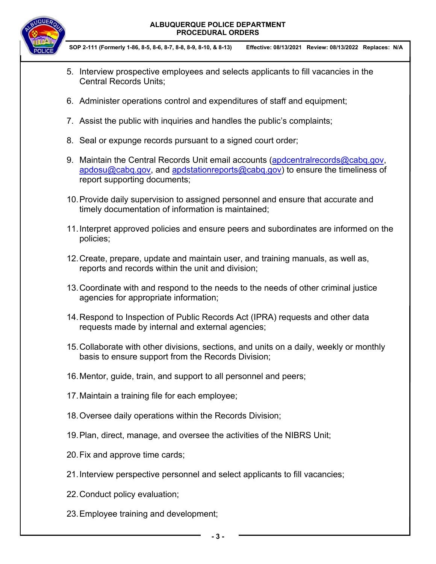

- 5. Interview prospective employees and selects applicants to fill vacancies in the Central Records Units;
- 6. Administer operations control and expenditures of staff and equipment;
- 7. Assist the public with inquiries and handles the public's complaints;
- 8. Seal or expunge records pursuant to a signed court order;
- 9. Maintain the Central Records Unit email accounts (apdcentralrecords@cabq.gov, apdosu@cabq.gov, and apdstationreports@cabq.gov) to ensure the timeliness of report supporting documents;
- 10. Provide daily supervision to assigned personnel and ensure that accurate and timely documentation of information is maintained;
- 11. Interpret approved policies and ensure peers and subordinates are informed on the policies;
- 12. Create, prepare, update and maintain user, and training manuals, as well as, reports and records within the unit and division;
- 13. Coordinate with and respond to the needs to the needs of other criminal justice agencies for appropriate information;
- 14. Respond to Inspection of Public Records Act (IPRA) requests and other data requests made by internal and external agencies;
- 15. Collaborate with other divisions, sections, and units on a daily, weekly or monthly basis to ensure support from the Records Division;
- 16. Mentor, guide, train, and support to all personnel and peers;
- 17. Maintain a training file for each employee;
- 18. Oversee daily operations within the Records Division;
- 19. Plan, direct, manage, and oversee the activities of the NIBRS Unit;
- 20. Fix and approve time cards;
- 21. Interview perspective personnel and select applicants to fill vacancies;
- 22. Conduct policy evaluation;
- 23. Employee training and development;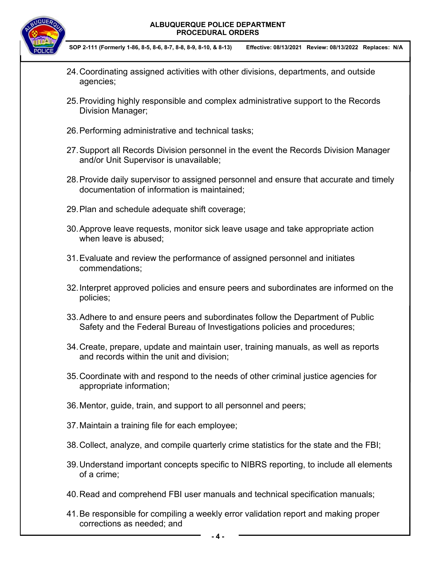

- 24. Coordinating assigned activities with other divisions, departments, and outside agencies;
- 25. Providing highly responsible and complex administrative support to the Records Division Manager;
- 26. Performing administrative and technical tasks;
- 27. Support all Records Division personnel in the event the Records Division Manager and/or Unit Supervisor is unavailable;
- 28. Provide daily supervisor to assigned personnel and ensure that accurate and timely documentation of information is maintained;
- 29. Plan and schedule adequate shift coverage;
- 30. Approve leave requests, monitor sick leave usage and take appropriate action when leave is abused;
- 31. Evaluate and review the performance of assigned personnel and initiates commendations;
- 32. Interpret approved policies and ensure peers and subordinates are informed on the policies;
- 33. Adhere to and ensure peers and subordinates follow the Department of Public Safety and the Federal Bureau of Investigations policies and procedures;
- 34. Create, prepare, update and maintain user, training manuals, as well as reports and records within the unit and division;
- 35. Coordinate with and respond to the needs of other criminal justice agencies for appropriate information;
- 36. Mentor, guide, train, and support to all personnel and peers;
- 37. Maintain a training file for each employee;
- 38. Collect, analyze, and compile quarterly crime statistics for the state and the FBI;
- 39. Understand important concepts specific to NIBRS reporting, to include all elements of a crime;
- 40. Read and comprehend FBI user manuals and technical specification manuals;
- 41. Be responsible for compiling a weekly error validation report and making proper corrections as needed; and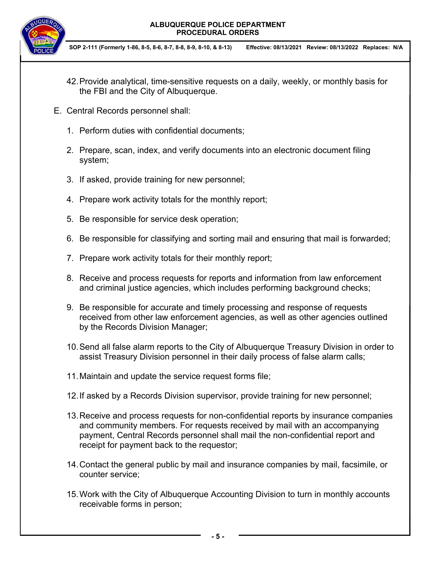

- 42. Provide analytical, time-sensitive requests on a daily, weekly, or monthly basis for the FBI and the City of Albuquerque.
- E. Central Records personnel shall:
	- 1. Perform duties with confidential documents;
	- 2. Prepare, scan, index, and verify documents into an electronic document filing system;
	- 3. If asked, provide training for new personnel;
	- 4. Prepare work activity totals for the monthly report;
	- 5. Be responsible for service desk operation;
	- 6. Be responsible for classifying and sorting mail and ensuring that mail is forwarded;
	- 7. Prepare work activity totals for their monthly report;
	- 8. Receive and process requests for reports and information from law enforcement and criminal justice agencies, which includes performing background checks;
	- 9. Be responsible for accurate and timely processing and response of requests received from other law enforcement agencies, as well as other agencies outlined by the Records Division Manager;
	- 10. Send all false alarm reports to the City of Albuquerque Treasury Division in order to assist Treasury Division personnel in their daily process of false alarm calls;
	- 11. Maintain and update the service request forms file;
	- 12. If asked by a Records Division supervisor, provide training for new personnel;
	- 13. Receive and process requests for non-confidential reports by insurance companies and community members. For requests received by mail with an accompanying payment, Central Records personnel shall mail the non-confidential report and receipt for payment back to the requestor;
	- 14. Contact the general public by mail and insurance companies by mail, facsimile, or counter service;
	- 15. Work with the City of Albuquerque Accounting Division to turn in monthly accounts receivable forms in person;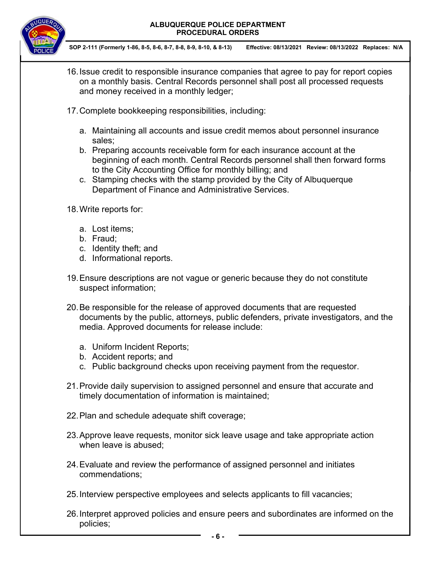

**SOP 2-111 (Formerly 1-86, 8-5, 8-6, 8-7, 8-8, 8-9, 8-10, & 8-13) Effective: 08/13/2021 Review: 08/13/2022 Replaces: N/A**

- 16. Issue credit to responsible insurance companies that agree to pay for report copies on a monthly basis. Central Records personnel shall post all processed requests and money received in a monthly ledger;
- 17. Complete bookkeeping responsibilities, including:
	- a. Maintaining all accounts and issue credit memos about personnel insurance sales;
	- b. Preparing accounts receivable form for each insurance account at the beginning of each month. Central Records personnel shall then forward forms to the City Accounting Office for monthly billing; and
	- c. Stamping checks with the stamp provided by the City of Albuquerque Department of Finance and Administrative Services.

18. Write reports for:

- a. Lost items;
- b. Fraud;
- c. Identity theft; and
- d. Informational reports.
- 19. Ensure descriptions are not vague or generic because they do not constitute suspect information;
- 20. Be responsible for the release of approved documents that are requested documents by the public, attorneys, public defenders, private investigators, and the media. Approved documents for release include:
	- a. Uniform Incident Reports;
	- b. Accident reports; and
	- c. Public background checks upon receiving payment from the requestor.
- 21. Provide daily supervision to assigned personnel and ensure that accurate and timely documentation of information is maintained;
- 22. Plan and schedule adequate shift coverage;
- 23. Approve leave requests, monitor sick leave usage and take appropriate action when leave is abused;
- 24. Evaluate and review the performance of assigned personnel and initiates commendations;
- 25. Interview perspective employees and selects applicants to fill vacancies;
- 26. Interpret approved policies and ensure peers and subordinates are informed on the policies;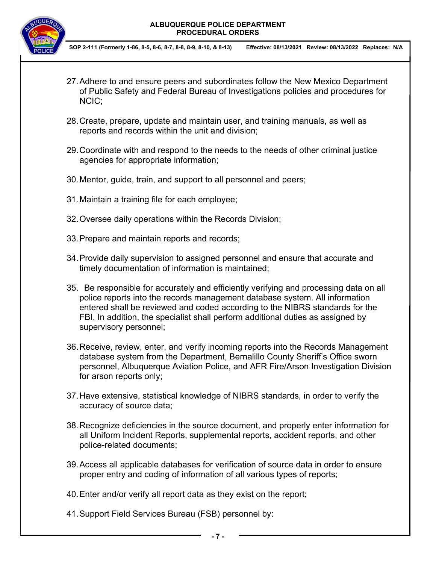

- 27. Adhere to and ensure peers and subordinates follow the New Mexico Department of Public Safety and Federal Bureau of Investigations policies and procedures for NCIC;
- 28. Create, prepare, update and maintain user, and training manuals, as well as reports and records within the unit and division;
- 29. Coordinate with and respond to the needs to the needs of other criminal justice agencies for appropriate information;
- 30. Mentor, guide, train, and support to all personnel and peers;
- 31. Maintain a training file for each employee;
- 32. Oversee daily operations within the Records Division;
- 33. Prepare and maintain reports and records;
- 34. Provide daily supervision to assigned personnel and ensure that accurate and timely documentation of information is maintained;
- 35. Be responsible for accurately and efficiently verifying and processing data on all police reports into the records management database system. All information entered shall be reviewed and coded according to the NIBRS standards for the FBI. In addition, the specialist shall perform additional duties as assigned by supervisory personnel;
- 36. Receive, review, enter, and verify incoming reports into the Records Management database system from the Department, Bernalillo County Sheriff's Office sworn personnel, Albuquerque Aviation Police, and AFR Fire/Arson Investigation Division for arson reports only;
- 37. Have extensive, statistical knowledge of NIBRS standards, in order to verify the accuracy of source data;
- 38. Recognize deficiencies in the source document, and properly enter information for all Uniform Incident Reports, supplemental reports, accident reports, and other police-related documents;
- 39. Access all applicable databases for verification of source data in order to ensure proper entry and coding of information of all various types of reports;
- 40. Enter and/or verify all report data as they exist on the report;
- 41. Support Field Services Bureau (FSB) personnel by: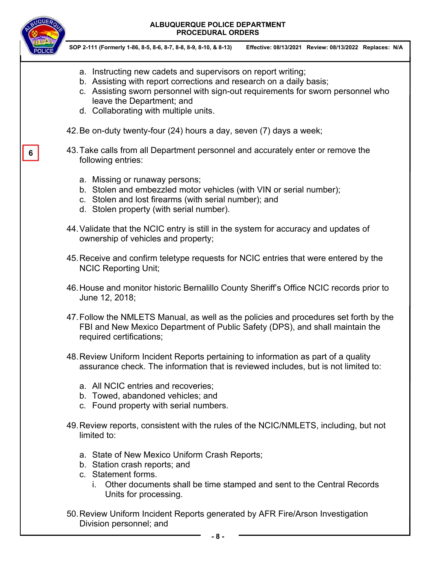

**6** 

- a. Instructing new cadets and supervisors on report writing;
- b. Assisting with report corrections and research on a daily basis;
- c. Assisting sworn personnel with sign-out requirements for sworn personnel who leave the Department; and
- d. Collaborating with multiple units.
- 42. Be on-duty twenty-four (24) hours a day, seven (7) days a week;
- 43. Take calls from all Department personnel and accurately enter or remove the following entries:
	- a. Missing or runaway persons;
	- b. Stolen and embezzled motor vehicles (with VIN or serial number);
	- c. Stolen and lost firearms (with serial number); and
	- d. Stolen property (with serial number).
- 44. Validate that the NCIC entry is still in the system for accuracy and updates of ownership of vehicles and property;
- 45. Receive and confirm teletype requests for NCIC entries that were entered by the NCIC Reporting Unit;
- 46. House and monitor historic Bernalillo County Sheriff's Office NCIC records prior to June 12, 2018;
- 47. Follow the NMLETS Manual, as well as the policies and procedures set forth by the FBI and New Mexico Department of Public Safety (DPS), and shall maintain the required certifications;
- 48. Review Uniform Incident Reports pertaining to information as part of a quality assurance check. The information that is reviewed includes, but is not limited to:
	- a. All NCIC entries and recoveries;
	- b. Towed, abandoned vehicles; and
	- c. Found property with serial numbers.
- 49. Review reports, consistent with the rules of the NCIC/NMLETS, including, but not limited to:
	- a. State of New Mexico Uniform Crash Reports;
	- b. Station crash reports; and
	- c. Statement forms.
		- i. Other documents shall be time stamped and sent to the Central Records Units for processing.
- 50. Review Uniform Incident Reports generated by AFR Fire/Arson Investigation Division personnel; and